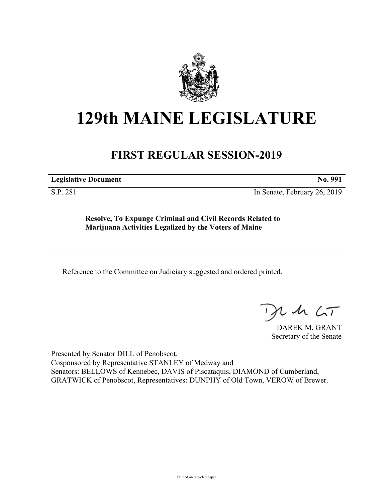

## **129th MAINE LEGISLATURE**

## **FIRST REGULAR SESSION-2019**

**Legislative Document No. 991**

S.P. 281 In Senate, February 26, 2019

**Resolve, To Expunge Criminal and Civil Records Related to Marijuana Activities Legalized by the Voters of Maine**

Reference to the Committee on Judiciary suggested and ordered printed.

 $125$ 

DAREK M. GRANT Secretary of the Senate

Presented by Senator DILL of Penobscot. Cosponsored by Representative STANLEY of Medway and Senators: BELLOWS of Kennebec, DAVIS of Piscataquis, DIAMOND of Cumberland, GRATWICK of Penobscot, Representatives: DUNPHY of Old Town, VEROW of Brewer.